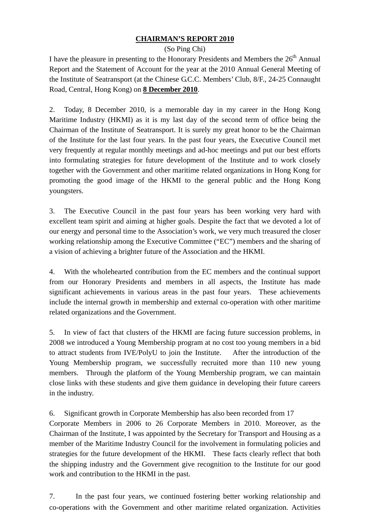# **CHAIRMAN'S REPORT 2010**

### (So Ping Chi)

I have the pleasure in presenting to the Honorary Presidents and Members the  $26<sup>th</sup>$  Annual Report and the Statement of Account for the year at the 2010 Annual General Meeting of the Institute of Seatransport (at the Chinese G.C.C. Members' Club, 8/F., 24-25 Connaught Road, Central, Hong Kong) on **8 December 2010**.

2. Today, 8 December 2010, is a memorable day in my career in the Hong Kong Maritime Industry (HKMI) as it is my last day of the second term of office being the Chairman of the Institute of Seatransport. It is surely my great honor to be the Chairman of the Institute for the last four years. In the past four years, the Executive Council met very frequently at regular monthly meetings and ad-hoc meetings and put our best efforts into formulating strategies for future development of the Institute and to work closely together with the Government and other maritime related organizations in Hong Kong for promoting the good image of the HKMI to the general public and the Hong Kong youngsters.

3. The Executive Council in the past four years has been working very hard with excellent team spirit and aiming at higher goals. Despite the fact that we devoted a lot of our energy and personal time to the Association's work, we very much treasured the closer working relationship among the Executive Committee ("EC") members and the sharing of a vision of achieving a brighter future of the Association and the HKMI.

4. With the wholehearted contribution from the EC members and the continual support from our Honorary Presidents and members in all aspects, the Institute has made significant achievements in various areas in the past four years. These achievements include the internal growth in membership and external co-operation with other maritime related organizations and the Government.

5. In view of fact that clusters of the HKMI are facing future succession problems, in 2008 we introduced a Young Membership program at no cost too young members in a bid to attract students from IVE/PolyU to join the Institute. After the introduction of the Young Membership program, we successfully recruited more than 110 new young members. Through the platform of the Young Membership program, we can maintain close links with these students and give them guidance in developing their future careers in the industry.

6. Significant growth in Corporate Membership has also been recorded from 17

Corporate Members in 2006 to 26 Corporate Members in 2010. Moreover, as the Chairman of the Institute, I was appointed by the Secretary for Transport and Housing as a member of the Maritime Industry Council for the involvement in formulating policies and strategies for the future development of the HKMI. These facts clearly reflect that both the shipping industry and the Government give recognition to the Institute for our good work and contribution to the HKMI in the past.

7. In the past four years, we continued fostering better working relationship and co-operations with the Government and other maritime related organization. Activities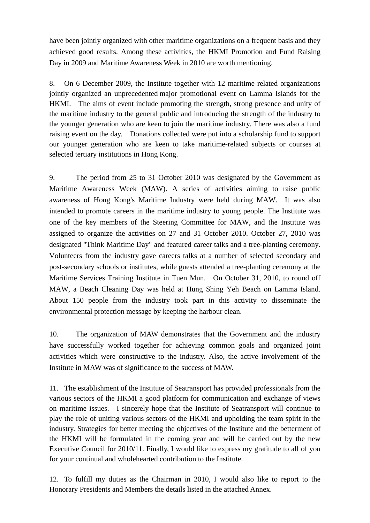have been jointly organized with other maritime organizations on a frequent basis and they achieved good results. Among these activities, the HKMI Promotion and Fund Raising Day in 2009 and Maritime Awareness Week in 2010 are worth mentioning.

8. On 6 December 2009, the Institute together with 12 maritime related organizations jointly organized an unprecedented major promotional event on Lamma Islands for the HKMI. The aims of event include promoting the strength, strong presence and unity of the maritime industry to the general public and introducing the strength of the industry to the younger generation who are keen to join the maritime industry. There was also a fund raising event on the day. Donations collected were put into a scholarship fund to support our younger generation who are keen to take maritime-related subjects or courses at selected tertiary institutions in Hong Kong.

9. The period from 25 to 31 October 2010 was designated by the Government as Maritime Awareness Week (MAW). A series of activities aiming to raise public awareness of Hong Kong's Maritime Industry were held during MAW. It was also intended to promote careers in the maritime industry to young people. The Institute was one of the key members of the Steering Committee for MAW, and the Institute was assigned to organize the activities on 27 and 31 October 2010. October 27, 2010 was designated "Think Maritime Day" and featured career talks and a tree-planting ceremony. Volunteers from the industry gave careers talks at a number of selected secondary and post-secondary schools or institutes, while guests attended a tree-planting ceremony at the Maritime Services Training Institute in Tuen Mun. On October 31, 2010, to round off MAW, a Beach Cleaning Day was held at Hung Shing Yeh Beach on Lamma Island. About 150 people from the industry took part in this activity to disseminate the environmental protection message by keeping the harbour clean.

10. The organization of MAW demonstrates that the Government and the industry have successfully worked together for achieving common goals and organized joint activities which were constructive to the industry. Also, the active involvement of the Institute in MAW was of significance to the success of MAW.

11. The establishment of the Institute of Seatransport has provided professionals from the various sectors of the HKMI a good platform for communication and exchange of views on maritime issues. I sincerely hope that the Institute of Seatransport will continue to play the role of uniting various sectors of the HKMI and upholding the team spirit in the industry. Strategies for better meeting the objectives of the Institute and the betterment of the HKMI will be formulated in the coming year and will be carried out by the new Executive Council for 2010/11. Finally, I would like to express my gratitude to all of you for your continual and wholehearted contribution to the Institute.

12. To fulfill my duties as the Chairman in 2010, I would also like to report to the Honorary Presidents and Members the details listed in the attached Annex.